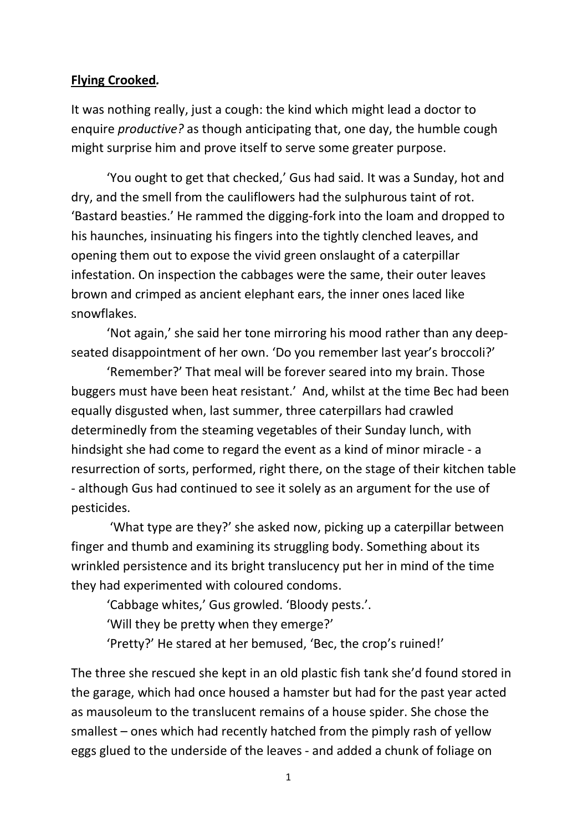## **Flying Crooked***.*

It was nothing really, just a cough: the kind which might lead a doctor to enquire *productive?* as though anticipating that, one day, the humble cough might surprise him and prove itself to serve some greater purpose.

'You ought to get that checked,' Gus had said. It was a Sunday, hot and dry, and the smell from the cauliflowers had the sulphurous taint of rot. 'Bastard beasties.' He rammed the digging-fork into the loam and dropped to his haunches, insinuating his fingers into the tightly clenched leaves, and opening them out to expose the vivid green onslaught of a caterpillar infestation. On inspection the cabbages were the same, their outer leaves brown and crimped as ancient elephant ears, the inner ones laced like snowflakes.

'Not again,' she said her tone mirroring his mood rather than any deepseated disappointment of her own. 'Do you remember last year's broccoli?'

'Remember?' That meal will be forever seared into my brain. Those buggers must have been heat resistant.' And, whilst at the time Bec had been equally disgusted when, last summer, three caterpillars had crawled determinedly from the steaming vegetables of their Sunday lunch, with hindsight she had come to regard the event as a kind of minor miracle - a resurrection of sorts, performed, right there, on the stage of their kitchen table - although Gus had continued to see it solely as an argument for the use of pesticides.

'What type are they?' she asked now, picking up a caterpillar between finger and thumb and examining its struggling body. Something about its wrinkled persistence and its bright translucency put her in mind of the time they had experimented with coloured condoms.

'Cabbage whites,' Gus growled. 'Bloody pests.'.

'Will they be pretty when they emerge?'

'Pretty?' He stared at her bemused, 'Bec, the crop's ruined!'

The three she rescued she kept in an old plastic fish tank she'd found stored in the garage, which had once housed a hamster but had for the past year acted as mausoleum to the translucent remains of a house spider. She chose the smallest – ones which had recently hatched from the pimply rash of yellow eggs glued to the underside of the leaves - and added a chunk of foliage on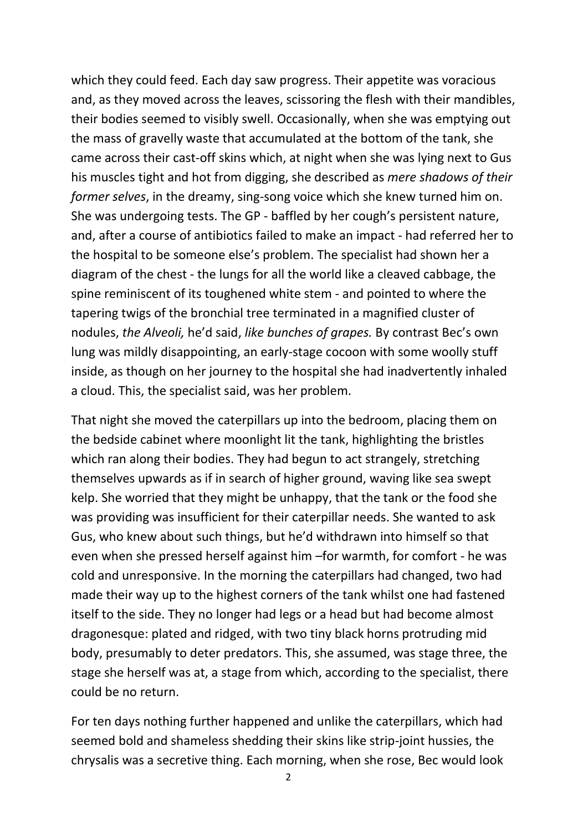which they could feed. Each day saw progress. Their appetite was voracious and, as they moved across the leaves, scissoring the flesh with their mandibles, their bodies seemed to visibly swell. Occasionally, when she was emptying out the mass of gravelly waste that accumulated at the bottom of the tank, she came across their cast-off skins which, at night when she was lying next to Gus his muscles tight and hot from digging, she described as *mere shadows of their former selves*, in the dreamy, sing-song voice which she knew turned him on. She was undergoing tests. The GP - baffled by her cough's persistent nature, and, after a course of antibiotics failed to make an impact - had referred her to the hospital to be someone else's problem. The specialist had shown her a diagram of the chest - the lungs for all the world like a cleaved cabbage, the spine reminiscent of its toughened white stem - and pointed to where the tapering twigs of the bronchial tree terminated in a magnified cluster of nodules, *the Alveoli,* he'd said, *like bunches of grapes.* By contrast Bec's own lung was mildly disappointing, an early-stage cocoon with some woolly stuff inside, as though on her journey to the hospital she had inadvertently inhaled a cloud. This, the specialist said, was her problem.

That night she moved the caterpillars up into the bedroom, placing them on the bedside cabinet where moonlight lit the tank, highlighting the bristles which ran along their bodies. They had begun to act strangely, stretching themselves upwards as if in search of higher ground, waving like sea swept kelp. She worried that they might be unhappy, that the tank or the food she was providing was insufficient for their caterpillar needs. She wanted to ask Gus, who knew about such things, but he'd withdrawn into himself so that even when she pressed herself against him –for warmth, for comfort - he was cold and unresponsive. In the morning the caterpillars had changed, two had made their way up to the highest corners of the tank whilst one had fastened itself to the side. They no longer had legs or a head but had become almost dragonesque: plated and ridged, with two tiny black horns protruding mid body, presumably to deter predators. This, she assumed, was stage three, the stage she herself was at, a stage from which, according to the specialist, there could be no return.

For ten days nothing further happened and unlike the caterpillars, which had seemed bold and shameless shedding their skins like strip-joint hussies, the chrysalis was a secretive thing. Each morning, when she rose, Bec would look